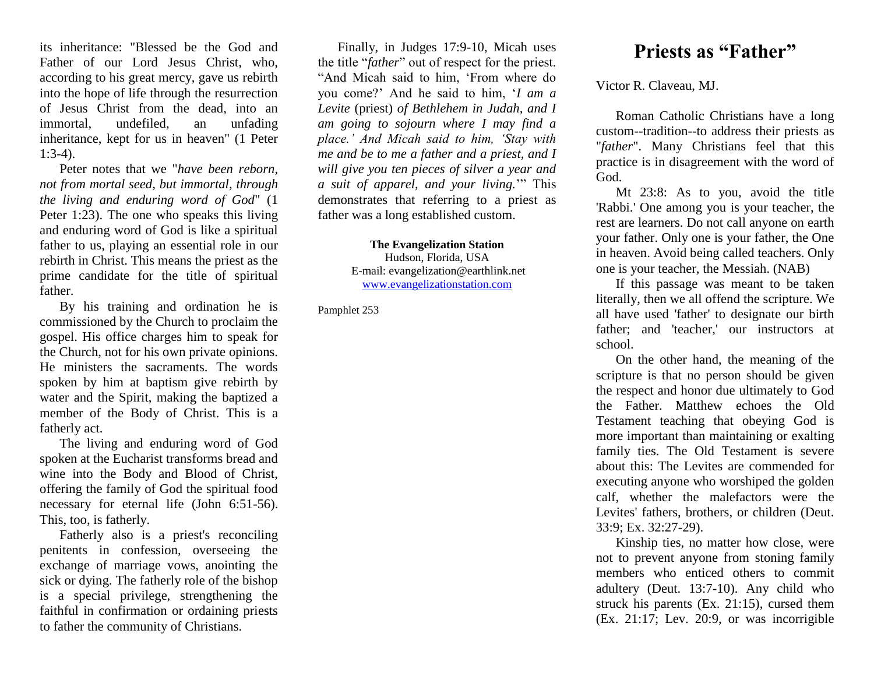its inheritance: "Blessed be the God and Father of our Lord Jesus Christ, who, according to his great mercy, gave us rebirth into the hope of life through the resurrection of Jesus Christ from the dead, into an immortal, undefiled, an unfading inheritance, kept for us in heaven" (1 Peter  $1:3-4$ ).

Peter notes that we "*have been reborn, not from mortal seed, but immortal, through the living and enduring word of God*" (1 Peter 1:23). The one who speaks this living and enduring word of God is like a spiritual father to us, playing an essential role in our rebirth in Christ. This means the priest as the prime candidate for the title of spiritual father.

By his training and ordination he is commissioned by the Church to proclaim the gospel. His office charges him to speak for the Church, not for his own private opinions. He ministers the sacraments. The words spoken by him at baptism give rebirth by water and the Spirit, making the baptized a member of the Body of Christ. This is a fatherly act.

The living and enduring word of God spoken at the Eucharist transforms bread and wine into the Body and Blood of Christ, offering the family of God the spiritual food necessary for eternal life (John 6:51-56). This, too, is fatherly.

Fatherly also is a priest's reconciling penitents in confession, overseeing the exchange of marriage vows, anointing the sick or dying. The fatherly role of the bishop is a special privilege, strengthening the faithful in confirmation or ordaining priests to father the community of Christians.

Finally, in Judges 17:9-10, Micah uses the title "*father*" out of respect for the priest. "And Micah said to him, 'From where do you come?' And he said to him, '*I am a Levite* (priest) *of Bethlehem in Judah, and I am going to sojourn where I may find a place.' And Micah said to him, 'Stay with me and be to me a father and a priest, and I will give you ten pieces of silver a year and a suit of apparel, and your living.*'" This demonstrates that referring to a priest as father was a long established custom.

> **The Evangelization Station** Hudson, Florida, USA E-mail: evangelization@earthlink.net [www.evangelizationstation.com](http://www.pjpiisoe.org/)

Pamphlet 253

## **Priests as "Father"**

Victor R. Claveau, MJ.

Roman Catholic Christians have a long custom--tradition--to address their priests as "*father*". Many Christians feel that this practice is in disagreement with the word of God.

Mt 23:8: As to you, avoid the title 'Rabbi.' One among you is your teacher, the rest are learners. Do not call anyone on earth your father. Only one is your father, the One in heaven. Avoid being called teachers. Only one is your teacher, the Messiah. (NAB)

If this passage was meant to be taken literally, then we all offend the scripture. We all have used 'father' to designate our birth father; and 'teacher,' our instructors at school.

On the other hand, the meaning of the scripture is that no person should be given the respect and honor due ultimately to God the Father. Matthew echoes the Old Testament teaching that obeying God is more important than maintaining or exalting family ties. The Old Testament is severe about this: The Levites are commended for executing anyone who worshiped the golden calf, whether the malefactors were the Levites' fathers, brothers, or children (Deut. 33:9; Ex. 32:27-29).

Kinship ties, no matter how close, were not to prevent anyone from stoning family members who enticed others to commit adultery (Deut. 13:7-10). Any child who struck his parents (Ex. 21:15), cursed them (Ex. 21:17; Lev. 20:9, or was incorrigible